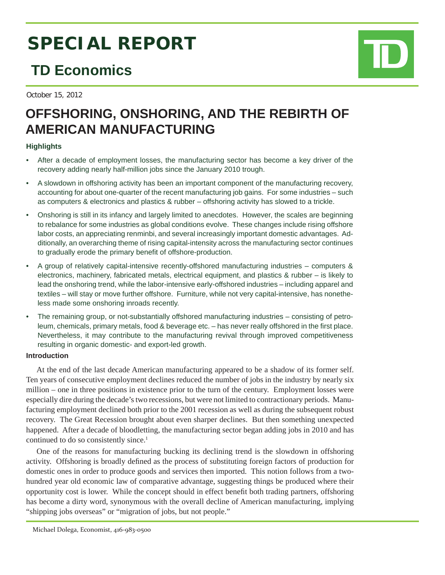# **SPECIAL REPORT**

# **TD Economics**

October 15, 2012

# **OFFSHORING, ONSHORING, AND THE REBIRTH OF AMERICAN MANUFACTURING**

### **Highlights**

- After a decade of employment losses, the manufacturing sector has become a key driver of the recovery adding nearly half-million jobs since the January 2010 trough.
- A slowdown in offshoring activity has been an important component of the manufacturing recovery, accounting for about one-quarter of the recent manufacturing job gains. For some industries – such as computers & electronics and plastics & rubber – offshoring activity has slowed to a trickle.
- Onshoring is still in its infancy and largely limited to anecdotes. However, the scales are beginning to rebalance for some industries as global conditions evolve. These changes include rising offshore labor costs, an appreciating renminbi, and several increasingly important domestic advantages. Additionally, an overarching theme of rising capital-intensity across the manufacturing sector continues to gradually erode the primary benefit of offshore-production.
- A group of relatively capital-intensive recently-offshored manufacturing industries computers & electronics, machinery, fabricated metals, electrical equipment, and plastics & rubber – is likely to lead the onshoring trend, while the labor-intensive early-offshored industries – including apparel and textiles – will stay or move further offshore. Furniture, while not very capital-intensive, has nonetheless made some onshoring inroads recently.
- The remaining group, or not-substantially offshored manufacturing industries consisting of petroleum, chemicals, primary metals, food & beverage etc. – has never really offshored in the first place. Nevertheless, it may contribute to the manufacturing revival through improved competitiveness resulting in organic domestic- and export-led growth.

### **Introduction**

At the end of the last decade American manufacturing appeared to be a shadow of its former self. Ten years of consecutive employment declines reduced the number of jobs in the industry by nearly six million – one in three positions in existence prior to the turn of the century. Employment losses were especially dire during the decade's two recessions, but were not limited to contractionary periods. Manufacturing employment declined both prior to the 2001 recession as well as during the subsequent robust recovery. The Great Recession brought about even sharper declines. But then something unexpected happened. After a decade of bloodletting, the manufacturing sector began adding jobs in 2010 and has continued to do so consistently since.<sup>1</sup>

One of the reasons for manufacturing bucking its declining trend is the slowdown in offshoring activity. Offshoring is broadly defined as the process of substituting foreign factors of production for domestic ones in order to produce goods and services then imported. This notion follows from a twohundred year old economic law of comparative advantage, suggesting things be produced where their opportunity cost is lower. While the concept should in effect benefi t both trading partners, offshoring has become a dirty word, synonymous with the overall decline of American manufacturing, implying "shipping jobs overseas" or "migration of jobs, but not people."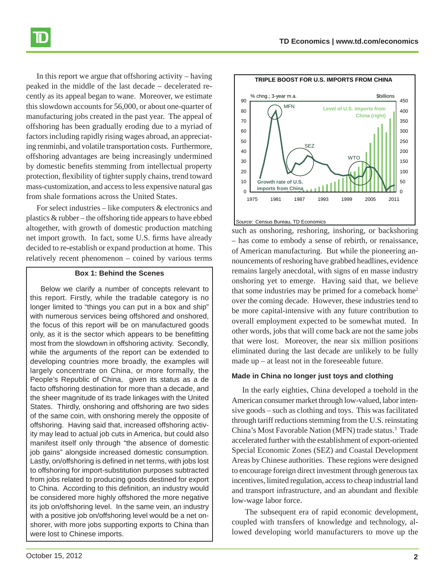

In this report we argue that offshoring activity – having peaked in the middle of the last decade – decelerated recently as its appeal began to wane. Moreover, we estimate this slowdown accounts for 56,000, or about one-quarter of manufacturing jobs created in the past year. The appeal of offshoring has been gradually eroding due to a myriad of factors including rapidly rising wages abroad, an appreciating renminbi, and volatile transportation costs. Furthermore, offshoring advantages are being increasingly undermined by domestic benefits stemming from intellectual property protection, flexibility of tighter supply chains, trend toward mass-customization, and access to less expensive natural gas from shale formations across the United States.

For select industries – like computers & electronics and plastics & rubber – the offshoring tide appears to have ebbed altogether, with growth of domestic production matching net import growth. In fact, some U.S. firms have already decided to re-establish or expand production at home. This relatively recent phenomenon – coined by various terms

#### **Box 1: Behind the Scenes**

Below we clarify a number of concepts relevant to this report. Firstly, while the tradable category is no longer limited to "things you can put in a box and ship" with numerous services being offshored and onshored, the focus of this report will be on manufactured goods only, as it is the sector which appears to be benefitting most from the slowdown in offshoring activity. Secondly, while the arguments of the report can be extended to developing countries more broadly, the examples will largely concentrate on China, or more formally, the People's Republic of China, given its status as a de facto offshoring destination for more than a decade, and the sheer magnitude of its trade linkages with the United States. Thirdly, onshoring and offshoring are two sides of the same coin, with onshoring merely the opposite of offshoring. Having said that, increased offshoring activity may lead to actual job cuts in America, but could also manifest itself only through "the absence of domestic job gains" alongside increased domestic consumption. Lastly, on/offshoring is defined in net terms, with jobs lost to offshoring for import-substitution purposes subtracted from jobs related to producing goods destined for export to China. According to this definition, an industry would be considered more highly offshored the more negative its job on/offshoring level. In the same vein, an industry with a positive job on/offshoring level would be a net onshorer, with more jobs supporting exports to China than were lost to Chinese imports.



#### *Source:* Census Bureau, TD Economics

such as onshoring, reshoring, inshoring, or backshoring – has come to embody a sense of rebirth, or renaissance, of American manufacturing. But while the pioneering announcements of reshoring have grabbed headlines, evidence remains largely anecdotal, with signs of en masse industry onshoring yet to emerge. Having said that, we believe that some industries may be primed for a comeback home<sup>2</sup> over the coming decade. However, these industries tend to be more capital-intensive with any future contribution to overall employment expected to be somewhat muted. In other words, jobs that will come back are not the same jobs that were lost. Moreover, the near six million positions eliminated during the last decade are unlikely to be fully made up – at least not in the foreseeable future.

#### **Made in China no longer just toys and clothing**

In the early eighties, China developed a toehold in the American consumer market through low-valued, labor intensive goods – such as clothing and toys. This was facilitated through tariff reductions stemming from the U.S. reinstating China's Most Favorable Nation (MFN) trade status.<sup>3</sup> Trade accelerated further with the establishment of export-oriented Special Economic Zones (SEZ) and Coastal Development Areas by Chinese authorities. These regions were designed to encourage foreign direct investment through generous tax incentives, limited regulation, access to cheap industrial land and transport infrastructure, and an abundant and flexible low-wage labor force.

 The subsequent era of rapid economic development, coupled with transfers of knowledge and technology, allowed developing world manufacturers to move up the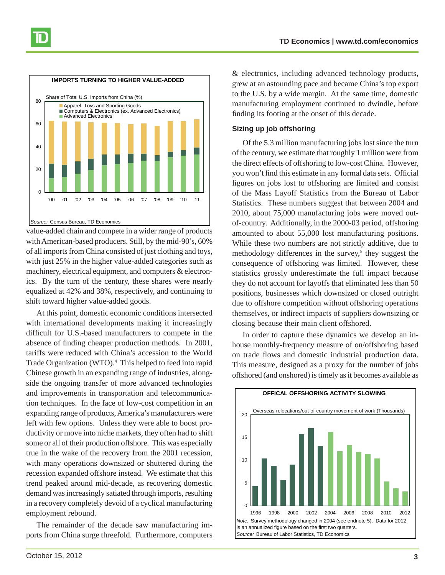

value-added chain and compete in a wider range of products with American-based producers. Still, by the mid-90's, 60% of all imports from China consisted of just clothing and toys, with just 25% in the higher value-added categories such as machinery, electrical equipment, and computers & electronics. By the turn of the century, these shares were nearly equalized at 42% and 38%, respectively, and continuing to shift toward higher value-added goods.

At this point, domestic economic conditions intersected with international developments making it increasingly difficult for U.S.-based manufacturers to compete in the absence of finding cheaper production methods. In 2001, tariffs were reduced with China's accession to the World Trade Organization (WTO).<sup>4</sup> This helped to feed into rapid Chinese growth in an expanding range of industries, alongside the ongoing transfer of more advanced technologies and improvements in transportation and telecommunication techniques. In the face of low-cost competition in an expanding range of products, America's manufacturers were left with few options. Unless they were able to boost productivity or move into niche markets, they often had to shift some or all of their production offshore. This was especially true in the wake of the recovery from the 2001 recession, with many operations downsized or shuttered during the recession expanded offshore instead. We estimate that this trend peaked around mid-decade, as recovering domestic demand was increasingly satiated through imports, resulting in a recovery completely devoid of a cyclical manufacturing employment rebound.

The remainder of the decade saw manufacturing imports from China surge threefold. Furthermore, computers

& electronics, including advanced technology products, grew at an astounding pace and became China's top export to the U.S. by a wide margin. At the same time, domestic manufacturing employment continued to dwindle, before finding its footing at the onset of this decade.

#### **Sizing up job offshoring**

Of the 5.3 million manufacturing jobs lost since the turn of the century, we estimate that roughly 1 million were from the direct effects of offshoring to low-cost China. However, you won't find this estimate in any formal data sets. Official figures on jobs lost to offshoring are limited and consist of the Mass Layoff Statistics from the Bureau of Labor Statistics. These numbers suggest that between 2004 and 2010, about 75,000 manufacturing jobs were moved outof-country. Additionally, in the 2000-03 period, offshoring amounted to about 55,000 lost manufacturing positions. While these two numbers are not strictly additive, due to methodology differences in the survey,<sup>5</sup> they suggest the consequence of offshoring was limited. However, these statistics grossly underestimate the full impact because they do not account for layoffs that eliminated less than 50 positions, businesses which downsized or closed outright due to offshore competition without offshoring operations themselves, or indirect impacts of suppliers downsizing or closing because their main client offshored.

In order to capture these dynamics we develop an inhouse monthly-frequency measure of on/offshoring based on trade flows and domestic industrial production data. This measure, designed as a proxy for the number of jobs offshored (and onshored) is timely as it becomes available as

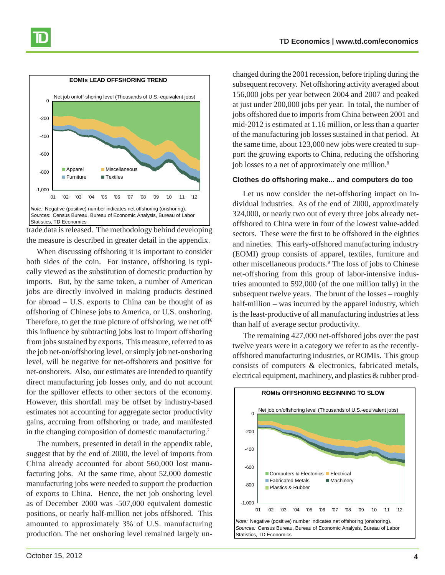

trade data is released. The methodology behind developing the measure is described in greater detail in the appendix.

When discussing offshoring it is important to consider both sides of the coin. For instance, offshoring is typically viewed as the substitution of domestic production by imports. But, by the same token, a number of American jobs are directly involved in making products destined for abroad – U.S. exports to China can be thought of as offshoring of Chinese jobs to America, or U.S. onshoring. Therefore, to get the true picture of offshoring, we net off<sup>6</sup> this influence by subtracting jobs lost to import offshoring from jobs sustained by exports. This measure, referred to as the job net-on/offshoring level, or simply job net-onshoring level, will be negative for net-offshorers and positive for net-onshorers. Also, our estimates are intended to quantify direct manufacturing job losses only, and do not account for the spillover effects to other sectors of the economy. However, this shortfall may be offset by industry-based estimates not accounting for aggregate sector productivity gains, accruing from offshoring or trade, and manifested in the changing composition of domestic manufacturing.7

The numbers, presented in detail in the appendix table, suggest that by the end of 2000, the level of imports from China already accounted for about 560,000 lost manufacturing jobs. At the same time, about 52,000 domestic manufacturing jobs were needed to support the production of exports to China. Hence, the net job onshoring level as of December 2000 was -507,000 equivalent domestic positions, or nearly half-million net jobs offshored. This amounted to approximately 3% of U.S. manufacturing production. The net onshoring level remained largely un-

changed during the 2001 recession, before tripling during the subsequent recovery. Net offshoring activity averaged about 156,000 jobs per year between 2004 and 2007 and peaked at just under 200,000 jobs per year. In total, the number of jobs offshored due to imports from China between 2001 and mid-2012 is estimated at 1.16 million, or less than a quarter of the manufacturing job losses sustained in that period. At the same time, about 123,000 new jobs were created to support the growing exports to China, reducing the offshoring job losses to a net of approximately one million.<sup>8</sup>

#### **Clothes do offshoring make... and computers do too**

Let us now consider the net-offshoring impact on individual industries. As of the end of 2000, approximately 324,000, or nearly two out of every three jobs already netoffshored to China were in four of the lowest value-added sectors. These were the first to be offshored in the eighties and nineties. This early-offshored manufacturing industry (EOMI) group consists of apparel, textiles, furniture and other miscellaneous products.9 The loss of jobs to Chinese net-offshoring from this group of labor-intensive industries amounted to 592,000 (of the one million tally) in the subsequent twelve years. The brunt of the losses – roughly half-million – was incurred by the apparel industry, which is the least-productive of all manufacturing industries at less than half of average sector productivity.

The remaining 427,000 net-offshored jobs over the past twelve years were in a category we refer to as the recentlyoffshored manufacturing industries, or ROMIs. This group consists of computers & electronics, fabricated metals, electrical equipment, machinery, and plastics & rubber prod-

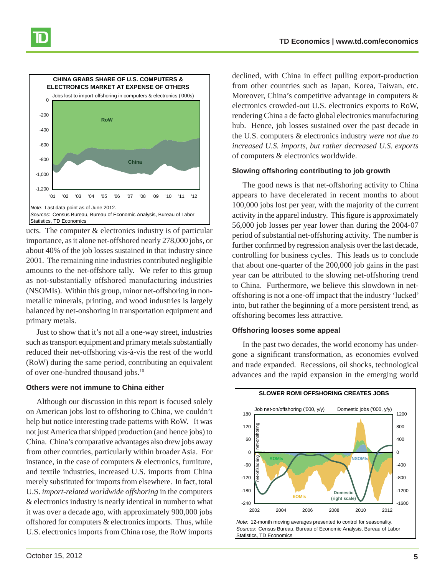

ucts. The computer & electronics industry is of particular importance, as it alone net-offshored nearly 278,000 jobs, or about 40% of the job losses sustained in that industry since 2001. The remaining nine industries contributed negligible amounts to the net-offshore tally. We refer to this group as not-substantially offshored manufacturing industries (NSOMIs). Within this group, minor net-offshoring in nonmetallic minerals, printing, and wood industries is largely balanced by net-onshoring in transportation equipment and primary metals.

Just to show that it's not all a one-way street, industries such as transport equipment and primary metals substantially reduced their net-offshoring vis-à-vis the rest of the world (RoW) during the same period, contributing an equivalent of over one-hundred thousand jobs.10

#### **Others were not immune to China either**

Although our discussion in this report is focused solely on American jobs lost to offshoring to China, we couldn't help but notice interesting trade patterns with RoW. It was not just America that shipped production (and hence jobs) to China. China's comparative advantages also drew jobs away from other countries, particularly within broader Asia. For instance, in the case of computers & electronics, furniture, and textile industries, increased U.S. imports from China merely substituted for imports from elsewhere. In fact, total U.S. *import-related worldwide offshoring* in the computers & electronics industry is nearly identical in number to what it was over a decade ago, with approximately 900,000 jobs offshored for computers & electronics imports. Thus, while U.S. electronics imports from China rose, the RoW imports

declined, with China in effect pulling export-production from other countries such as Japan, Korea, Taiwan, etc. Moreover, China's competitive advantage in computers & electronics crowded-out U.S. electronics exports to RoW, rendering China a de facto global electronics manufacturing hub. Hence, job losses sustained over the past decade in the U.S. computers & electronics industry *were not due to increased U.S. imports, but rather decreased U.S. exports* of computers & electronics worldwide.

#### **Slowing offshoring contributing to job growth**

The good news is that net-offshoring activity to China appears to have decelerated in recent months to about 100,000 jobs lost per year, with the majority of the current activity in the apparel industry. This figure is approximately 56,000 job losses per year lower than during the 2004-07 period of substantial net-offshoring activity. The number is further confirmed by regression analysis over the last decade, controlling for business cycles. This leads us to conclude that about one-quarter of the 200,000 job gains in the past year can be attributed to the slowing net-offshoring trend to China. Furthermore, we believe this slowdown in netoffshoring is not a one-off impact that the industry 'lucked' into, but rather the beginning of a more persistent trend, as offshoring becomes less attractive.

#### **Offshoring looses some appeal**

In the past two decades, the world economy has undergone a significant transformation, as economies evolved and trade expanded. Recessions, oil shocks, technological advances and the rapid expansion in the emerging world

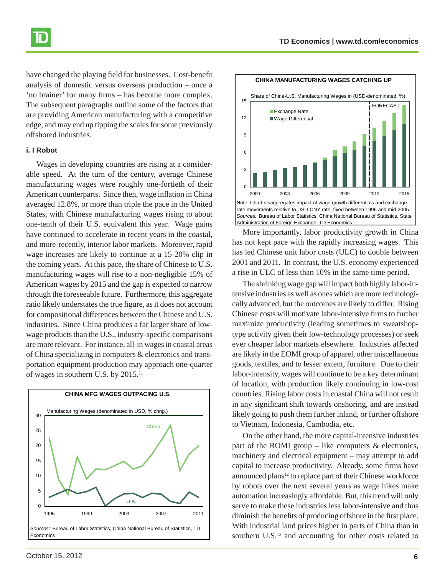

have changed the playing field for businesses. Cost-benefit analysis of domestic versus overseas production – once a 'no brainer' for many firms – has become more complex. The subsequent paragraphs outline some of the factors that are providing American manufacturing with a competitive edge, and may end up tipping the scales for some previously offshored industries.

#### **i. I Robot**

Wages in developing countries are rising at a considerable speed. At the turn of the century, average Chinese manufacturing wages were roughly one-fortieth of their American counterparts. Since then, wage inflation in China averaged 12.8%, or more than triple the pace in the United States, with Chinese manufacturing wages rising to about one-tenth of their U.S. equivalent this year. Wage gains have continued to accelerate in recent years in the coastal, and more-recently, interior labor markets. Moreover, rapid wage increases are likely to continue at a 15-20% clip in the coming years. At this pace, the share of Chinese to U.S. manufacturing wages will rise to a non-negligible 15% of American wages by 2015 and the gap is expected to narrow through the foreseeable future. Furthermore, this aggregate ratio likely understates the true figure, as it does not account for compositional differences between the Chinese and U.S. industries. Since China produces a far larger share of lowwage products than the U.S., industry-specific comparisons are more relevant. For instance, all-in wages in coastal areas of China specializing in computers & electronics and transportation equipment production may approach one-quarter of wages in southern U.S. by 2015.11





More importantly, labor productivity growth in China has not kept pace with the rapidly increasing wages. This has led Chinese unit labor costs (ULC) to double between 2001 and 2011. In contrast, the U.S. economy experienced a rise in ULC of less than 10% in the same time period.

The shrinking wage gap will impact both highly labor-intensive industries as well as ones which are more technologically advanced, but the outcomes are likely to differ. Rising Chinese costs will motivate labor-intensive firms to further maximize productivity (leading sometimes to sweatshoptype activity given their low-technology processes) or seek ever cheaper labor markets elsewhere. Industries affected are likely in the EOMI group of apparel, other miscellaneous goods, textiles, and to lesser extent, furniture. Due to their labor-intensity, wages will continue to be a key determinant of location, with production likely continuing in low-cost countries. Rising labor costs in coastal China will not result in any significant shift towards onshoring, and are instead likely going to push them further inland, or further offshore to Vietnam, Indonesia, Cambodia, etc.

On the other hand, the more capital-intensive industries part of the ROMI group – like computers  $\&$  electronics, machinery and electrical equipment – may attempt to add capital to increase productivity. Already, some firms have announced plans<sup>12</sup> to replace part of their Chinese workforce by robots over the next several years as wage hikes make automation increasingly affordable. But, this trend will only serve to make these industries less labor-intensive and thus diminish the benefits of producing offshore in the first place. With industrial land prices higher in parts of China than in southern U.S.<sup>13</sup> and accounting for other costs related to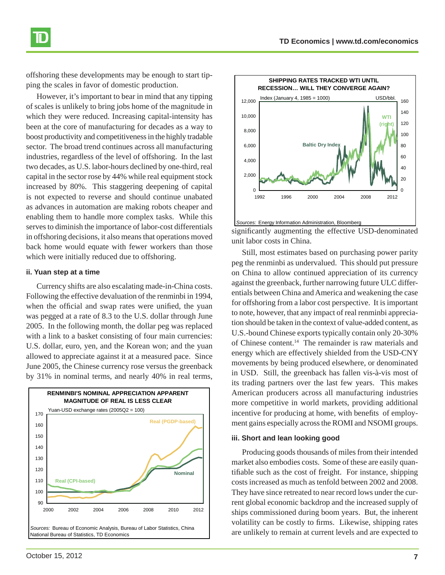offshoring these developments may be enough to start tipping the scales in favor of domestic production.

However, it's important to bear in mind that any tipping of scales is unlikely to bring jobs home of the magnitude in which they were reduced. Increasing capital-intensity has been at the core of manufacturing for decades as a way to boost productivity and competitiveness in the highly tradable sector. The broad trend continues across all manufacturing industries, regardless of the level of offshoring. In the last two decades, as U.S. labor-hours declined by one-third, real capital in the sector rose by 44% while real equipment stock increased by 80%. This staggering deepening of capital is not expected to reverse and should continue unabated as advances in automation are making robots cheaper and enabling them to handle more complex tasks. While this serves to diminish the importance of labor-cost differentials in offshoring decisions, it also means that operations moved back home would equate with fewer workers than those which were initially reduced due to offshoring.

#### **ii. Yuan step at a time**

Currency shifts are also escalating made-in-China costs. Following the effective devaluation of the renminbi in 1994, when the official and swap rates were unified, the yuan was pegged at a rate of 8.3 to the U.S. dollar through June 2005. In the following month, the dollar peg was replaced with a link to a basket consisting of four main currencies: U.S. dollar, euro, yen, and the Korean won; and the yuan allowed to appreciate against it at a measured pace. Since June 2005, the Chinese currency rose versus the greenback by 31% in nominal terms, and nearly 40% in real terms,

**RENMINBI'S NOMINAL APPRECIATION APPARENT MAGNITUDE OF REAL IS LESS CLEAR** 90 100 110 120 130 140 150 160 170 2000 2002 2004 2006 2008 2010 2012 *Sources:* Bureau of Economic Analysis, Bureau of Labor Statistics, China National Bureau of Statistics, TD Economics **Nominal Real (PGDP-based) Real (CPI-based)** Yuan-USD exchange rates (2005Q2 = 100)

significantly augmenting the effective USD-denominated unit labor costs in China.

Still, most estimates based on purchasing power parity peg the renminbi as undervalued. This should put pressure on China to allow continued appreciation of its currency against the greenback, further narrowing future ULC differentials between China and America and weakening the case for offshoring from a labor cost perspective. It is important to note, however, that any impact of real renminbi appreciation should be taken in the context of value-added content, as U.S.-bound Chinese exports typically contain only 20-30% of Chinese content.14 The remainder is raw materials and energy which are effectively shielded from the USD-CNY movements by being produced elsewhere, or denominated in USD. Still, the greenback has fallen vis-à-vis most of its trading partners over the last few years. This makes American producers across all manufacturing industries more competitive in world markets, providing additional incentive for producing at home, with benefits of employment gains especially across the ROMI and NSOMI groups.

#### **iii. Short and lean looking good**

Producing goods thousands of miles from their intended market also embodies costs. Some of these are easily quantifiable such as the cost of freight. For instance, shipping costs increased as much as tenfold between 2002 and 2008. They have since retreated to near record lows under the current global economic backdrop and the increased supply of ships commissioned during boom years. But, the inherent volatility can be costly to firms. Likewise, shipping rates are unlikely to remain at current levels and are expected to



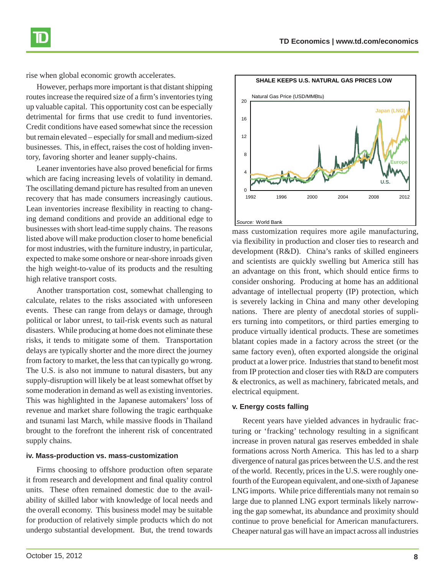

rise when global economic growth accelerates.

However, perhaps more important is that distant shipping routes increase the required size of a firm's inventories tying up valuable capital. This opportunity cost can be especially detrimental for firms that use credit to fund inventories. Credit conditions have eased somewhat since the recession but remain elevated – especially for small and medium-sized businesses. This, in effect, raises the cost of holding inventory, favoring shorter and leaner supply-chains.

Leaner inventories have also proved beneficial for firms which are facing increasing levels of volatility in demand. The oscillating demand picture has resulted from an uneven recovery that has made consumers increasingly cautious. Lean inventories increase flexibility in reacting to changing demand conditions and provide an additional edge to businesses with short lead-time supply chains. The reasons listed above will make production closer to home beneficial for most industries, with the furniture industry, in particular, expected to make some onshore or near-shore inroads given the high weight-to-value of its products and the resulting high relative transport costs.

Another transportation cost, somewhat challenging to calculate, relates to the risks associated with unforeseen events. These can range from delays or damage, through political or labor unrest, to tail-risk events such as natural disasters. While producing at home does not eliminate these risks, it tends to mitigate some of them. Transportation delays are typically shorter and the more direct the journey from factory to market, the less that can typically go wrong. The U.S. is also not immune to natural disasters, but any supply-disruption will likely be at least somewhat offset by some moderation in demand as well as existing inventories. This was highlighted in the Japanese automakers' loss of revenue and market share following the tragic earthquake and tsunami last March, while massive floods in Thailand brought to the forefront the inherent risk of concentrated supply chains.

#### **iv. Mass-production vs. mass-customization**

Firms choosing to offshore production often separate it from research and development and final quality control units. These often remained domestic due to the availability of skilled labor with knowledge of local needs and the overall economy. This business model may be suitable for production of relatively simple products which do not undergo substantial development. But, the trend towards



mass customization requires more agile manufacturing, via flexibility in production and closer ties to research and development (R&D). China's ranks of skilled engineers and scientists are quickly swelling but America still has an advantage on this front, which should entice firms to consider onshoring. Producing at home has an additional advantage of intellectual property (IP) protection, which is severely lacking in China and many other developing nations. There are plenty of anecdotal stories of suppliers turning into competitors, or third parties emerging to produce virtually identical products. These are sometimes blatant copies made in a factory across the street (or the same factory even), often exported alongside the original product at a lower price. Industries that stand to benefit most from IP protection and closer ties with R&D are computers & electronics, as well as machinery, fabricated metals, and electrical equipment.

#### **v. Energy costs falling**

Recent years have yielded advances in hydraulic fracturing or 'fracking' technology resulting in a significant increase in proven natural gas reserves embedded in shale formations across North America. This has led to a sharp divergence of natural gas prices between the U.S. and the rest of the world. Recently, prices in the U.S. were roughly onefourth of the European equivalent, and one-sixth of Japanese LNG imports. While price differentials many not remain so large due to planned LNG export terminals likely narrowing the gap somewhat, its abundance and proximity should continue to prove beneficial for American manufacturers. Cheaper natural gas will have an impact across all industries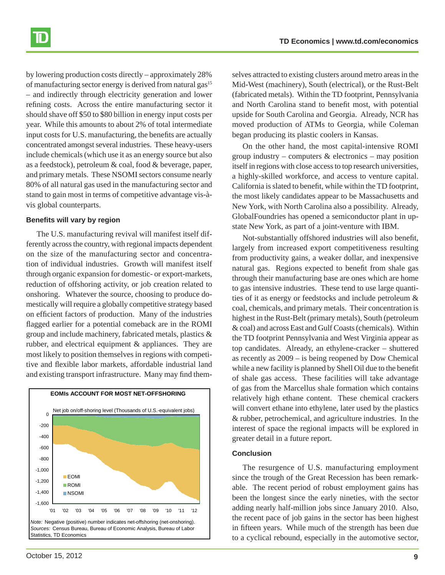by lowering production costs directly – approximately 28% of manufacturing sector energy is derived from natural gas<sup>15</sup> – and indirectly through electricity generation and lower refining costs. Across the entire manufacturing sector it should shave off \$50 to \$80 billion in energy input costs per year. While this amounts to about 2% of total intermediate input costs for U.S. manufacturing, the benefits are actually concentrated amongst several industries. These heavy-users include chemicals (which use it as an energy source but also as a feedstock), petroleum & coal, food & beverage, paper, and primary metals. These NSOMI sectors consume nearly 80% of all natural gas used in the manufacturing sector and stand to gain most in terms of competitive advantage vis-àvis global counterparts.

#### **Benefits will vary by region**

The U.S. manufacturing revival will manifest itself differently across the country, with regional impacts dependent on the size of the manufacturing sector and concentration of individual industries. Growth will manifest itself through organic expansion for domestic- or export-markets, reduction of offshoring activity, or job creation related to onshoring. Whatever the source, choosing to produce domestically will require a globally competitive strategy based on efficient factors of production. Many of the industries flagged earlier for a potential comeback are in the ROMI group and include machinery, fabricated metals, plastics & rubber, and electrical equipment & appliances. They are most likely to position themselves in regions with competitive and flexible labor markets, affordable industrial land and existing transport infrastructure. Many may find them-



selves attracted to existing clusters around metro areas in the Mid-West (machinery), South (electrical), or the Rust-Belt (fabricated metals). Within the TD footprint, Pennsylvania and North Carolina stand to benefit most, with potential upside for South Carolina and Georgia. Already, NCR has moved production of ATMs to Georgia, while Coleman began producing its plastic coolers in Kansas.

On the other hand, the most capital-intensive ROMI group industry – computers  $\&$  electronics – may position itself in regions with close access to top research universities, a highly-skilled workforce, and access to venture capital. California is slated to benefit, while within the TD footprint, the most likely candidates appear to be Massachusetts and New York, with North Carolina also a possibility. Already, GlobalFoundries has opened a semiconductor plant in upstate New York, as part of a joint-venture with IBM.

Not-substantially offshored industries will also benefit, largely from increased export competitiveness resulting from productivity gains, a weaker dollar, and inexpensive natural gas. Regions expected to benefit from shale gas through their manufacturing base are ones which are home to gas intensive industries. These tend to use large quantities of it as energy or feedstocks and include petroleum & coal, chemicals, and primary metals. Their concentration is highest in the Rust-Belt (primary metals), South (petroleum & coal) and across East and Gulf Coasts (chemicals). Within the TD footprint Pennsylvania and West Virginia appear as top candidates. Already, an ethylene-cracker – shuttered as recently as 2009 – is being reopened by Dow Chemical while a new facility is planned by Shell Oil due to the benefit of shale gas access. These facilities will take advantage of gas from the Marcellus shale formation which contains relatively high ethane content. These chemical crackers will convert ethane into ethylene, later used by the plastics & rubber, petrochemical, and agriculture industries. In the interest of space the regional impacts will be explored in greater detail in a future report.

#### **Conclusion**

The resurgence of U.S. manufacturing employment since the trough of the Great Recession has been remarkable. The recent period of robust employment gains has been the longest since the early nineties, with the sector adding nearly half-million jobs since January 2010. Also, the recent pace of job gains in the sector has been highest in fifteen years. While much of the strength has been due to a cyclical rebound, especially in the automotive sector,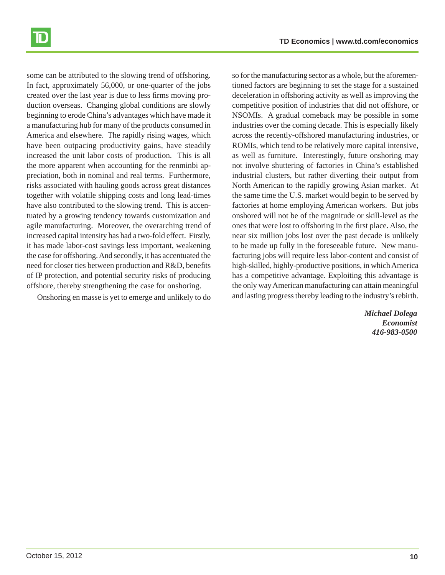

some can be attributed to the slowing trend of offshoring. In fact, approximately 56,000, or one-quarter of the jobs created over the last year is due to less firms moving production overseas. Changing global conditions are slowly beginning to erode China's advantages which have made it a manufacturing hub for many of the products consumed in America and elsewhere. The rapidly rising wages, which have been outpacing productivity gains, have steadily increased the unit labor costs of production. This is all the more apparent when accounting for the renminbi appreciation, both in nominal and real terms. Furthermore, risks associated with hauling goods across great distances together with volatile shipping costs and long lead-times have also contributed to the slowing trend. This is accentuated by a growing tendency towards customization and agile manufacturing. Moreover, the overarching trend of increased capital intensity has had a two-fold effect. Firstly, it has made labor-cost savings less important, weakening the case for offshoring. And secondly, it has accentuated the need for closer ties between production and R&D, benefits of IP protection, and potential security risks of producing offshore, thereby strengthening the case for onshoring.

Onshoring en masse is yet to emerge and unlikely to do

so for the manufacturing sector as a whole, but the aforementioned factors are beginning to set the stage for a sustained deceleration in offshoring activity as well as improving the competitive position of industries that did not offshore, or NSOMIs. A gradual comeback may be possible in some industries over the coming decade. This is especially likely across the recently-offshored manufacturing industries, or ROMIs, which tend to be relatively more capital intensive, as well as furniture. Interestingly, future onshoring may not involve shuttering of factories in China's established industrial clusters, but rather diverting their output from North American to the rapidly growing Asian market. At the same time the U.S. market would begin to be served by factories at home employing American workers. But jobs onshored will not be of the magnitude or skill-level as the ones that were lost to offshoring in the first place. Also, the near six million jobs lost over the past decade is unlikely to be made up fully in the foreseeable future. New manufacturing jobs will require less labor-content and consist of high-skilled, highly-productive positions, in which America has a competitive advantage. Exploiting this advantage is the only way American manufacturing can attain meaningful and lasting progress thereby leading to the industry's rebirth.

> *Michael Dolega Economist 416-983-0500*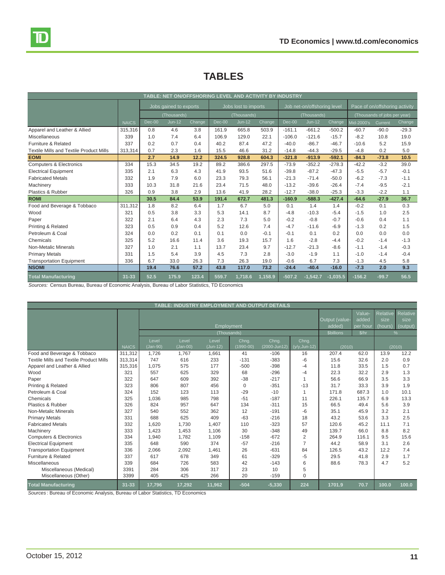| TABLE: NET ON/OFFSHORING LEVEL AND ACTIVITY BY INDUSTRY                                       |              |                                       |          |        |                                     |          |         |                                            |            |            |                                |         |         |  |
|-----------------------------------------------------------------------------------------------|--------------|---------------------------------------|----------|--------|-------------------------------------|----------|---------|--------------------------------------------|------------|------------|--------------------------------|---------|---------|--|
|                                                                                               |              | Jobs gained to exports<br>(Thousands) |          |        | Jobs lost to imports<br>(Thousands) |          |         | Job net-on/offshoring level<br>(Thousands) |            |            | Pace of on/offshoring activity |         |         |  |
|                                                                                               |              |                                       |          |        |                                     |          |         |                                            |            |            | (Thousands of jobs per year)   |         |         |  |
|                                                                                               | <b>NAICS</b> | $Dec-00$                              | $Jun-12$ | Change | $Dec-00$                            | $Jun-12$ | Change  | $Dec-00$                                   | $Jun-12$   | Change     | Mid-2000's                     | Current | Change  |  |
| Apparel and Leather & Allied                                                                  | 315,316      | 0.8                                   | 4.6      | 3.8    | 161.9                               | 665.8    | 503.9   | $-161.1$                                   | $-661.2$   | $-500.2$   | $-60.7$                        | $-90.0$ | $-29.3$ |  |
| <b>Miscellaneous</b>                                                                          | 339          | 1.0                                   | 7.4      | 6.4    | 106.9                               | 129.0    | 22.1    | $-106.0$                                   | $-121.6$   | $-15.7$    | $-8.2$                         | 10.8    | 19.0    |  |
| Furniture & Related                                                                           | 337          | 0.2                                   | 0.7      | 0.4    | 40.2                                | 87.4     | 47.2    | $-40.0$                                    | $-86.7$    | $-46.7$    | $-10.6$                        | 5.2     | 15.9    |  |
| <b>Textile Mills and Textile Product Mills</b>                                                | 313,314      | 0.7                                   | 2.3      | 1.6    | 15.5                                | 46.6     | 31.2    | $-14.8$                                    | $-44.3$    | $-29.5$    | $-4.8$                         | 0.2     | 5.0     |  |
| <b>EOMI</b>                                                                                   |              | 2.7                                   | 14.9     | 12.2   | 324.5                               | 928.8    | 604.3   | $-321.8$                                   | $-913.9$   | $-592.1$   | $-84.3$                        | $-73.8$ | 10.5    |  |
| <b>Computers &amp; Electronics</b>                                                            | 334          | 15.3                                  | 34.5     | 19.2   | 89.2                                | 386.6    | 297.5   | $-73.9$                                    | $-352.2$   | $-278.3$   | $-42.2$                        | $-3.2$  | 39.0    |  |
| <b>Electrical Equipment</b>                                                                   | 335          | 2.1                                   | 6.3      | 4.3    | 41.9                                | 93.5     | 51.6    | $-39.8$                                    | $-87.2$    | $-47.3$    | $-5.5$                         | $-5.7$  | $-0.1$  |  |
| <b>Fabricated Metals</b>                                                                      | 332          | 1.9                                   | 7.9      | 6.0    | 23.3                                | 79.3     | 56.1    | $-21.3$                                    | $-71.4$    | $-50.0$    | $-6.2$                         | $-7.3$  | $-1.1$  |  |
| Machinery                                                                                     | 333          | 10.3                                  | 31.8     | 21.6   | 23.4                                | 71.5     | 48.0    | $-13.2$                                    | $-39.6$    | $-26.4$    | $-7.4$                         | $-9.5$  | $-2.1$  |  |
| Plastics & Rubber                                                                             | 326          | 0.9                                   | 3.8      | 2.9    | 13.6                                | 41.9     | 28.2    | $-12.7$                                    | $-38.0$    | $-25.3$    | $-3.3$                         | $-2.2$  | 1.1     |  |
| <b>ROMI</b>                                                                                   |              | 30.5                                  | 84.4     | 53.9   | 191.4                               | 672.7    | 481.3   | $-160.9$                                   | $-588.3$   | $-427.4$   | $-64.6$                        | $-27.9$ | 36.7    |  |
| Food and Beverage & Tobbaco                                                                   | 311,312      | 1.8                                   | 8.2      | 6.4    | 1.7                                 | 6.7      | 5.0     | 0.1                                        | 1.4        | 1.4        | $-0.2$                         | 0.1     | 0.3     |  |
| Wood                                                                                          | 321          | 0.5                                   | 3.8      | 3.3    | 5.3                                 | 14.1     | 8.7     | $-4.8$                                     | $-10.3$    | $-5.4$     | $-1.5$                         | 1.0     | 2.5     |  |
| Paper                                                                                         | 322          | 2.1                                   | 6.4      | 4.3    | 2.3                                 | 7.3      | 5.0     | $-0.2$                                     | $-0.8$     | $-0.7$     | $-0.6$                         | 0.4     | 1.1     |  |
| Printing & Related                                                                            | 323          | 0.5                                   | 0.9      | 0.4    | 5.2                                 | 12.6     | 7.4     | $-4.7$                                     | $-11.6$    | $-6.9$     | $-1.3$                         | 0.2     | 1.5     |  |
| Petroleum & Coal                                                                              | 324          | 0.0                                   | 0.2      | 0.1    | 0.1                                 | 0.0      | $-0.1$  | $-0.1$                                     | 0.1        | 0.2        | 0.0                            | 0.0     | 0.0     |  |
| Chemicals                                                                                     | 325          | 5.2                                   | 16.6     | 11.4   | 3.6                                 | 19.3     | 15.7    | 1.6                                        | $-2.8$     | $-4.4$     | $-0.2$                         | $-1.4$  | $-1.3$  |  |
| Non-Metalic Minerals                                                                          | 327          | 1.0                                   | 2.1      | 1.1    | 13.7                                | 23.4     | 9.7     | $-12.7$                                    | $-21.3$    | $-8.6$     | $-1.1$                         | $-1.4$  | $-0.3$  |  |
| <b>Primary Metals</b>                                                                         | 331          | 1.5                                   | 5.4      | 3.9    | 4.5                                 | 7.3      | 2.8     | $-3.0$                                     | $-1.9$     | 1.1        | $-1.0$                         | $-1.4$  | $-0.4$  |  |
| <b>Transportation Equipment</b>                                                               | 336          | 6.7                                   | 33.0     | 26.3   | 7.3                                 | 26.3     | 19.0    | $-0.6$                                     | 6.7        | 7.3        | $-1.3$                         | 4.5     | 5.8     |  |
| <b>NSOMI</b>                                                                                  |              | 19.4                                  | 76.6     | 57.2   | 43.8                                | 117.0    | 73.2    | $-24.4$                                    | $-40.4$    | $-16.0$    | $-7.3$                         | 2.0     | 9.3     |  |
| <b>Fotal Manufacturing</b>                                                                    | $31 - 33$    | 52.5                                  | 175.9    | 123.4  | 559.7                               | 1,718.6  | 1,158.9 | $-507.2$                                   | $-1,542.7$ | $-1,035.5$ | $-156.2$                       | $-99.7$ | 56.5    |  |
| Cources: Cansus Rureau, Rureau of Economic Analysis, Rureau of Labor Statistics, TD Economics |              |                                       |          |        |                                     |          |         |                                            |            |            |                                |         |         |  |

## **TABLES**

*Sources:* Census Bureau, Bureau of Economic Analysis, Bureau of Labor Statistics, TD Economics

| TABLE: INDUSTRY EMPLOYMENT AND OUTPUT DETAILS  |              |                   |                                |                             |                             |                                                   |                |        |       |        |       |
|------------------------------------------------|--------------|-------------------|--------------------------------|-----------------------------|-----------------------------|---------------------------------------------------|----------------|--------|-------|--------|-------|
|                                                |              |                   | Output (value-<br>added)       | Value-<br>added<br>per hour | Relative<br>size<br>(hours) | Relative<br>size<br>(output)                      |                |        |       |        |       |
|                                                |              |                   | <b><i><u>Sbillions</u></i></b> | \$/hr                       |                             | %                                                 |                |        |       |        |       |
|                                                | <b>NAICS</b> | Level<br>(Jan-90) | Level<br>(Jan-00)              | Level<br>(Jun-12)           | Chng.<br>$(1990 - 00)$      | Chng.<br>Chng.<br>(2000-Jun12)<br>$(y/y, Jun-12)$ |                | (2010) |       | (2010) |       |
| Food and Beverage & Tobbaco                    | 311,312      | 1,726             | 1,767                          | 1,661                       | 41                          | $-106$                                            | 16             | 207.4  | 62.0  | 13.9   | 12.2  |
| <b>Textile Mills and Textile Product Mills</b> | 313.314      | 747               | 616                            | 233                         | $-131$                      | $-383$                                            | $-6$           | 15.6   | 32.6  | 2.0    | 0.9   |
| Apparel and Leather & Allied                   | 315,316      | 1,075             | 575                            | 177                         | $-500$                      | $-398$                                            | $-4$           | 11.8   | 33.5  | 1.5    | 0.7   |
| Wood                                           | 321          | 557               | 625                            | 329                         | 68                          | $-296$                                            | -4             | 22.3   | 32.2  | 2.9    | 1.3   |
| Paper                                          | 322          | 647               | 609                            | 392                         | $-38$                       | $-217$                                            | $\overline{1}$ | 56.6   | 66.9  | 3.5    | 3.3   |
| Printing & Related                             | 323          | 806               | 807                            | 456                         | $\Omega$                    | $-351$                                            | $-13$          | 31.7   | 33.3  | 3.9    | 1.9   |
| Petroleum & Coal                               | 324          | 152               | 123                            | 113                         | $-29$                       | $-10$                                             | $\mathbf{1}$   | 171.8  | 687.3 | 1.0    | 10.1  |
| Chemicals                                      | 325          | 1.036             | 985                            | 798                         | $-51$                       | $-187$                                            | 11             | 226.1  | 135.7 | 6.9    | 13.3  |
| Plastics & Rubber                              | 326          | 824               | 957                            | 647                         | 134                         | $-311$                                            | 15             | 66.5   | 49.4  | 5.6    | 3.9   |
| <b>Non-Metalic Minerals</b>                    | 327          | 540               | 552                            | 362                         | 12                          | $-191$                                            | $-6$           | 35.1   | 45.9  | 3.2    | 2.1   |
| <b>Primary Metals</b>                          | 331          | 688               | 625                            | 409                         | $-63$                       | $-216$                                            | 18             | 43.2   | 53.6  | 3.3    | 2.5   |
| <b>Fabricated Metals</b>                       | 332          | 1,620             | 1,730                          | 1,407                       | 110                         | $-323$                                            | 57             | 120.6  | 45.2  | 11.1   | 7.1   |
| Machinery                                      | 333          | 1,423             | 1,453                          | 1,106                       | 30                          | $-348$                                            | 49             | 139.7  | 66.0  | 8.8    | 8.2   |
| <b>Computers &amp; Electronics</b>             | 334          | 1,940             | 1,782                          | 1,109                       | $-158$                      | $-672$                                            | $\overline{2}$ | 264.9  | 116.1 | 9.5    | 15.6  |
| <b>Electrical Equipment</b>                    | 335          | 648               | 590                            | 374                         | $-57$                       | $-216$                                            | $\overline{7}$ | 44.2   | 58.9  | 3.1    | 2.6   |
| <b>Transportation Equipment</b>                | 336          | 2,066             | 2,092                          | 1,461                       | 26                          | $-631$                                            | 84             | 126.5  | 43.2  | 12.2   | 7.4   |
| Furniture & Related                            | 337          | 617               | 678                            | 349                         | 61                          | $-329$                                            | $-5$           | 29.5   | 41.8  | 2.9    | 1.7   |
| Miscellaneous                                  | 339          | 684               | 726                            | 583                         | 42                          | $-143$                                            | 6              | 88.6   | 78.3  | 4.7    | 5.2   |
| Miscellaneous (Medical)                        | 3391         | 284               | 306                            | 317                         | 23                          | 10                                                | 5              |        |       |        |       |
| Miscellaneous (Other)                          | 3399         | 405               | 425                            | 266                         | 20                          | $-159$                                            | $\Omega$       |        |       |        |       |
| <b>Total Manufacturing</b>                     | $31 - 33$    | 17,796            | 17.292                         | 11.962                      | $-504$                      | $-5.330$                                          | 224            | 1701.9 | 70.7  | 100.0  | 100.0 |

*Sources* : Bureau of Economic Analysis, Bureau of Labor Statistics, TD Economics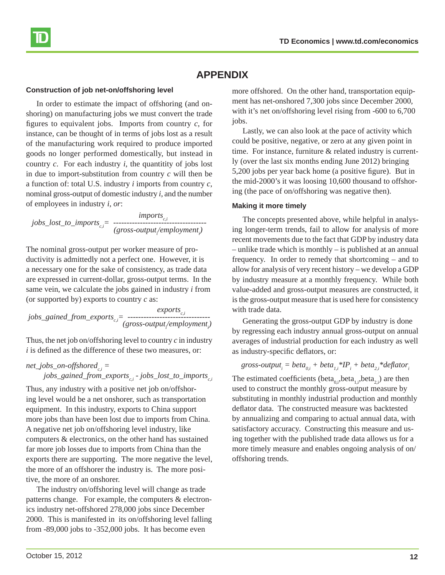

### **APPENDIX**

#### **Construction of job net-on/offshoring level**

In order to estimate the impact of offshoring (and onshoring) on manufacturing jobs we must convert the trade figures to equivalent jobs. Imports from country  $c$ , for instance, can be thought of in terms of jobs lost as a result of the manufacturing work required to produce imported goods no longer performed domestically, but instead in country *c*. For each industry *i*, the quantitity of jobs lost in due to import-substitution from country *c* will then be a function of: total U.S. industry *i* imports from country *c*, nominal gross-output of domestic industry *i*, and the number of employees in industry *i, or*:

*imports*<sub>c,*i*</sub> *imports*<sub>c,*i*</sub> *<i>(gross-output*/employment<sub>*i*</sub></sub>)

The nominal gross-output per worker measure of productivity is admittedly not a perfect one. However, it is a necessary one for the sake of consistency, as trade data are expressed in current-dollar, gross-output terms. In the same vein, we calculate the jobs gained in industry *i* from (or supported by) exports to country *c* as:

*exports*<sub>c,*i*</sub> *exports*<sub>c,*i*</sub> *exports*<sub>c,*i*</sub> *c (gross-output*/*employment<sub>i</sub>*)

Thus, the net job on/offshoring level to country *c* in industry  $i$  is defined as the difference of these two measures, or:

### $net\_jobs\_on-offshored_{c,i} =$

*jobs\_gained\_from\_exports<sub>c,i</sub> - jobs\_lost\_to\_imports*<sub>c,i</sub>

Thus, any industry with a positive net job on/offshoring level would be a net onshorer, such as transportation equipment. In this industry, exports to China support more jobs than have been lost due to imports from China. A negative net job on/offshoring level industry, like computers & electronics, on the other hand has sustained far more job losses due to imports from China than the exports there are supporting. The more negative the level, the more of an offshorer the industry is. The more positive, the more of an onshorer.

The industry on/offshoring level will change as trade patterns change. For example, the computers & electronics industry net-offshored 278,000 jobs since December 2000. This is manifested in its on/offshoring level falling from -89,000 jobs to -352,000 jobs. It has become even

more offshored. On the other hand, transportation equipment has net-onshored 7,300 jobs since December 2000, with it's net on/offshoring level rising from -600 to 6,700 jobs.

Lastly, we can also look at the pace of activity which could be positive, negative, or zero at any given point in time. For instance, furniture & related industry is currently (over the last six months ending June 2012) bringing 5,200 jobs per year back home (a positive figure). But in the mid-2000's it was loosing 10,600 thousand to offshoring (the pace of on/offshoring was negative then).

#### **Making it more timely**

The concepts presented above, while helpful in analysing longer-term trends, fail to allow for analysis of more recent movements due to the fact that GDP by industry data – unlike trade which is monthly – is published at an annual frequency. In order to remedy that shortcoming – and to allow for analysis of very recent history – we develop a GDP by industry measure at a monthly frequency. While both value-added and gross-output measures are constructed, it is the gross-output measure that is used here for consistency with trade data.

Generating the gross-output GDP by industry is done by regressing each industry annual gross-output on annual averages of industrial production for each industry as well as industry-specific deflators, or:

 $\frac{1}{2}$  *gross-output*<sub>i</sub> =  $beta_{0,i}$  +  $beta_{1,i}$ <sup>\*</sup> $IP_i$  +  $beta_{2,i}$ <sup>\*</sup> $\frac{1}{2}$ *deflator*<sub>i</sub>

The estimated coefficients (beta<sub>0,i</sub>,beta<sub>1,i</sub>,beta<sub>2,i</sub>) are then used to construct the monthly gross-output measure by substituting in monthly industrial production and monthly deflator data. The constructed measure was backtested by annualizing and comparing to actual annual data, with satisfactory accuracy. Constructing this measure and using together with the published trade data allows us for a more timely measure and enables ongoing analysis of on/ offshoring trends.